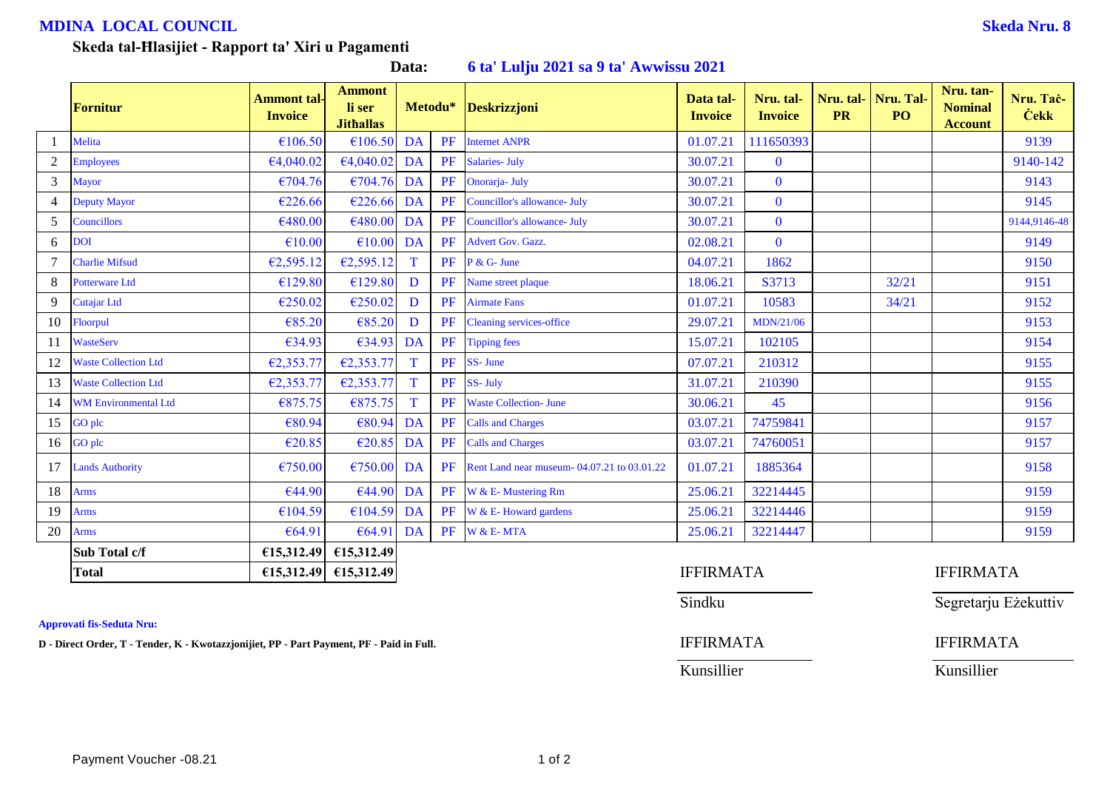## **MDINA LOCAL COUNCIL Skeda Nru. 8**

| Data: |  |  | 6 ta' Lulju 2021 sa 9 ta' Awwissu 2021 |
|-------|--|--|----------------------------------------|
|-------|--|--|----------------------------------------|

|                | <b>Fornitur</b>             | <b>Ammont tal-</b><br><b>Invoice</b> | <b>Ammont</b><br>li ser<br><b>Jithallas</b> | Metodu*      |    | <b>Deskrizzjoni</b>                        | Data tal-<br><b>Invoice</b> | Nru. tal-<br><b>Invoice</b> | <b>PR</b> | Nru. tal- Nru. Tal-<br>PO <sub>1</sub> | Nru. tan-<br><b>Nominal</b><br><b>Account</b> | Nru. Tač-<br><b>Cekk</b> |
|----------------|-----------------------------|--------------------------------------|---------------------------------------------|--------------|----|--------------------------------------------|-----------------------------|-----------------------------|-----------|----------------------------------------|-----------------------------------------------|--------------------------|
|                | Melita                      | €106.50                              | £106.50                                     | <b>DA</b>    | PF | <b>Internet ANPR</b>                       | 01.07.21                    | 111650393                   |           |                                        |                                               | 9139                     |
| $\overline{2}$ | <b>Employees</b>            | €4,040.02                            | €4,040.02                                   | DA           | PF | <b>Salaries- July</b>                      | 30.07.21                    | $\mathbf{0}$                |           |                                        |                                               | 9140-142                 |
| $\overline{3}$ | <b>Mayor</b>                | €704.76                              | €704.76                                     | DA           | PF | Onorarja- July                             | 30.07.21                    | $\bf{0}$                    |           |                                        |                                               | 9143                     |
| 4              | Deputy Mayor                | €226.66                              | €226.66                                     | DA           | PF | Councillor's allowance- July               | 30.07.21                    | $\bf{0}$                    |           |                                        |                                               | 9145                     |
| 5 <sup>5</sup> | Councillors                 | €480.00                              | €480.00                                     | DA           | PF | Councillor's allowance- July               | 30.07.21                    | $\bf{0}$                    |           |                                        |                                               | 9144,9146-48             |
| 6              | <b>DOI</b>                  | €10.00                               | €10.00                                      | DA           | PF | Advert Gov. Gazz.                          | 02.08.21                    | $\mathbf{0}$                |           |                                        |                                               | 9149                     |
|                | <b>Charlie Mifsud</b>       | €2,595.12                            | €2,595.12                                   | $\mathbf{T}$ | PF | $P & G$ - June                             | 04.07.21                    | 1862                        |           |                                        |                                               | 9150                     |
| 8              | Potterware Ltd              | €129.80                              | €129.80                                     | D            | PF | Name street plaque                         | 18.06.21                    | S3713                       |           | 32/21                                  |                                               | 9151                     |
| 9              | <b>Cutajar Ltd</b>          | €250.02                              | €250.02                                     | D            | PF | <b>Airmate Fans</b>                        | 01.07.21                    | 10583                       |           | 34/21                                  |                                               | 9152                     |
| 10             | Floorpul                    | €85.20                               | €85.20                                      | D            | PF | <b>Cleaning services-office</b>            | 29.07.21                    | MDN/21/06                   |           |                                        |                                               | 9153                     |
| 11             | <b>WasteServ</b>            | €34.93                               | €34.93                                      | DA           | PF | <b>Tipping fees</b>                        | 15.07.21                    | 102105                      |           |                                        |                                               | 9154                     |
| 12             | <b>Waste Collection Ltd</b> | €2,353.77                            | E2,353.77                                   | T            | PF | SS-June                                    | 07.07.21                    | 210312                      |           |                                        |                                               | 9155                     |
| 13             | <b>Waste Collection Ltd</b> | €2,353.77                            | E2,353.77                                   | T            | PF | SS-July                                    | 31.07.21                    | 210390                      |           |                                        |                                               | 9155                     |
| 14             | <b>WM Environmental Ltd</b> | €875.75                              | €875.75                                     | $\mathbf{T}$ | PF | <b>Waste Collection- June</b>              | 30.06.21                    | 45                          |           |                                        |                                               | 9156                     |
| 15             | GO plc                      | €80.94                               | €80.94                                      | DA           | PF | <b>Calls and Charges</b>                   | 03.07.21                    | 74759841                    |           |                                        |                                               | 9157                     |
| 16             | GO plc                      | €20.85                               | €20.85                                      | <b>DA</b>    | PF | <b>Calls and Charges</b>                   | 03.07.21                    | 74760051                    |           |                                        |                                               | 9157                     |
| 17             | <b>Lands Authority</b>      | €750.00                              | E750.00                                     | DA           | PF | Rent Land near museum-04.07.21 to 03.01.22 | 01.07.21                    | 1885364                     |           |                                        |                                               | 9158                     |
| 18             | <b>Arms</b>                 | €44.90                               | €44.90                                      | DA           | PF | W & E- Mustering Rm                        | 25.06.21                    | 32214445                    |           |                                        |                                               | 9159                     |
| 19             | <b>Arms</b>                 | €104.59                              | €104.59                                     | DA           | PF | W & E-Howard gardens                       | 25.06.21                    | 32214446                    |           |                                        |                                               | 9159                     |
| 20             | Arms                        | €64.91                               | €64.91                                      | <b>DA</b>    | PF | W & E-MTA                                  | 25.06.21                    | 32214447                    |           |                                        |                                               | 9159                     |
|                | Sub Total c/f               | €15,312.49                           | £15,312.49                                  |              |    |                                            |                             |                             |           |                                        |                                               |                          |
|                | <b>Total</b>                | £15,312.49                           | £15,312.49                                  |              |    |                                            | <b>IFFIRMATA</b>            |                             |           |                                        | <b>IFFIRMATA</b>                              |                          |

**Approvati fis-Seduta Nru:**

**D** - Direct Order, T - Tender, K - Kwotazzjonijiet, PP - Part Payment, PF - Paid in Full. **IFFIRMATA** IFFIRMATA

Kunsillier Kunsillier

Sindku Segretarju Eżekuttiv